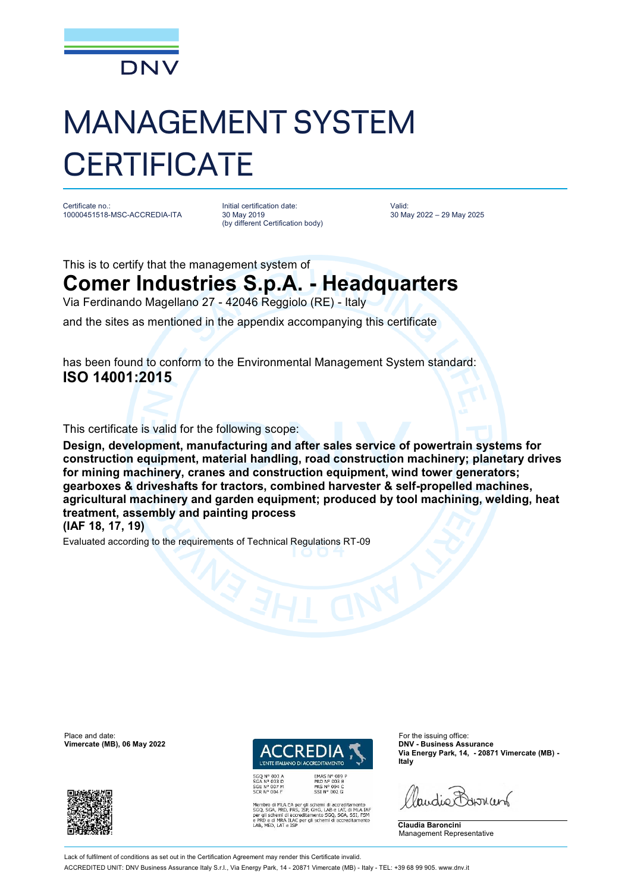

## MANAGEMENT SYSTEM **CERTIFICATE**

Certificate no.: 10000451518-MSC-ACCREDIA-ITA

Initial certification date: 30 May 2019 (by different Certification body) Valid: 30 May 2022 – 29 May 2025

This is to certify that the management system of

## **Comer Industries S.p.A. - Headquarters**

Via Ferdinando Magellano 27 - 42046 Reggiolo (RE) - Italy

and the sites as mentioned in the appendix accompanying this certificate

has been found to conform to the Environmental Management System standard: **ISO 14001:2015**

This certificate is valid for the following scope:

**Design, development, manufacturing and after sales service of powertrain systems for construction equipment, material handling, road construction machinery; planetary drives for mining machinery, cranes and construction equipment, wind tower generators; gearboxes & driveshafts for tractors, combined harvester & self-propelled machines, agricultural machinery and garden equipment; produced by tool machining, welding, heat treatment, assembly and painting process (IAF 18, 17, 19)**

Evaluated according to the requirements of Technical Regulations RT-09

Place and date: For the issuing office:<br> **Place and date:** For the issuing office:<br> **Place and date:** For the issuing office:<br> **Place and date:** For the issuing office:  $V$ imercate (MB), 06 May 2022





EMAS N° 009 P<br>PRD N° 003 B<br>PRS N° 094 C<br>SSI N° 002 G MLA EA per gli schemi di accreditamento<br>, PRD, PRS, ISP, GHG, LAB e LAT, di MLA IAF<br>emi di accreditamento SGQ, SGA, SSI, FSM<br>MRA ILAC per gli schemi di accreditamento<br>LAT e ISP **Via Energy Park, 14, - 20871 Vimercate (MB) - Italy**

audie Barnant

**Claudia Baroncini** Management Representative

Lack of fulfilment of conditions as set out in the Certification Agreement may render this Certificate invalid ACCREDITED UNIT: DNV Business Assurance Italy S.r.l., Via Energy Park, 14 - 20871 Vimercate (MB) - Italy - TEL: +39 68 99 905. [www.dnv.it](http://www.dnv.it)